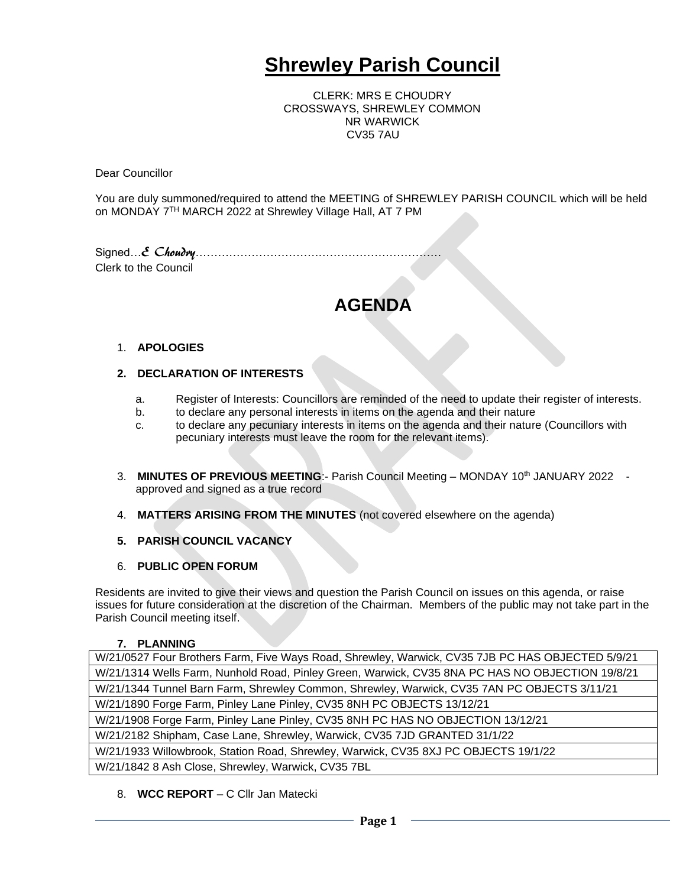# **Shrewley Parish Council**

CLERK: MRS E CHOUDRY CROSSWAYS, SHREWLEY COMMON NR WARWICK CV35 7AU

Dear Councillor

You are duly summoned/required to attend the MEETING of SHREWLEY PARISH COUNCIL which will be held on MONDAY 7<sup>TH</sup> MARCH 2022 at Shrewley Village Hall, AT 7 PM

Signed…E Choudry………………………………………………………… Clerk to the Council

# **AGENDA**

## 1. **APOLOGIES**

## **2. DECLARATION OF INTERESTS**

- a. Register of Interests: Councillors are reminded of the need to update their register of interests.
- b. to declare any personal interests in items on the agenda and their nature
- c. to declare any pecuniary interests in items on the agenda and their nature (Councillors with pecuniary interests must leave the room for the relevant items).
- 3. **MINUTES OF PREVIOUS MEETING:** Parish Council Meeting MONDAY 10<sup>th</sup> JANUARY 2022 approved and signed as a true record
- 4. **MATTERS ARISING FROM THE MINUTES** (not covered elsewhere on the agenda)
- **5. PARISH COUNCIL VACANCY**
- 6. **PUBLIC OPEN FORUM**

Residents are invited to give their views and question the Parish Council on issues on this agenda, or raise issues for future consideration at the discretion of the Chairman. Members of the public may not take part in the Parish Council meeting itself.

#### **7. PLANNING**

8. **WCC REPORT** – C Cllr Jan Matecki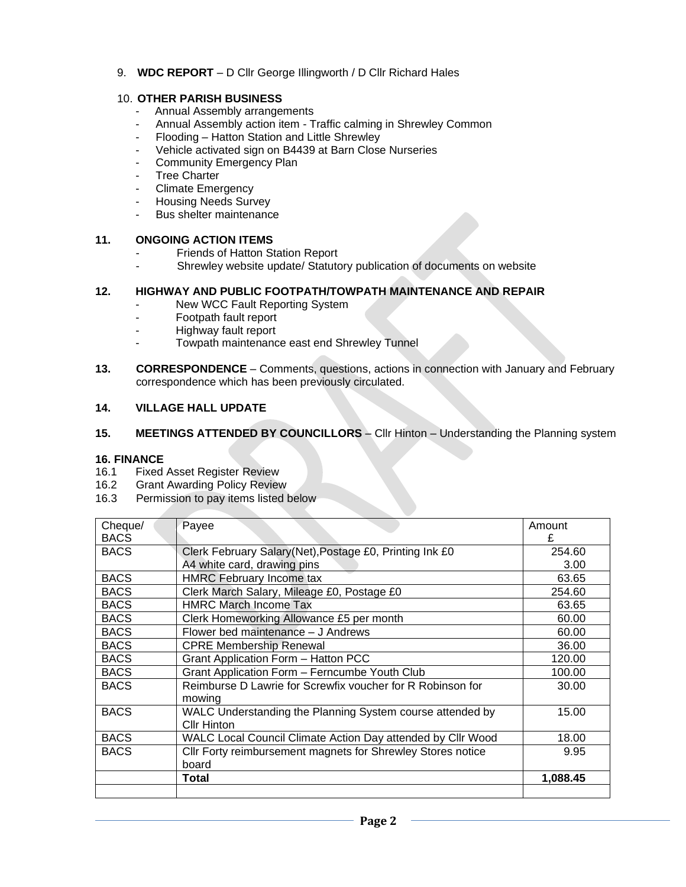#### 9. **WDC REPORT** – D Cllr George Illingworth / D Cllr Richard Hales

#### 10. **OTHER PARISH BUSINESS**

- Annual Assembly arrangements
- Annual Assembly action item Traffic calming in Shrewley Common
- Flooding Hatton Station and Little Shrewley
- Vehicle activated sign on B4439 at Barn Close Nurseries
- Community Emergency Plan
- **Tree Charter**
- Climate Emergency
- Housing Needs Survey
- Bus shelter maintenance

## **11. ONGOING ACTION ITEMS**

- Friends of Hatton Station Report
- Shrewley website update/ Statutory publication of documents on website

#### **12. HIGHWAY AND PUBLIC FOOTPATH/TOWPATH MAINTENANCE AND REPAIR**

- New WCC Fault Reporting System
- Footpath fault report
- Highway fault report
- Towpath maintenance east end Shrewley Tunnel
- **13. CORRESPONDENCE** Comments, questions, actions in connection with January and February correspondence which has been previously circulated.

## **14. VILLAGE HALL UPDATE**

#### **15. MEETINGS ATTENDED BY COUNCILLORS** – Cllr Hinton – Understanding the Planning system

#### **16. FINANCE**

- 16.1 Fixed Asset Register Review
- 16.2 Grant Awarding Policy Review
- 16.3 Permission to pay items listed below

| Cheque/     | Payee                                                       | Amount   |
|-------------|-------------------------------------------------------------|----------|
| <b>BACS</b> |                                                             | £        |
| <b>BACS</b> | Clerk February Salary (Net), Postage £0, Printing Ink £0    | 254.60   |
|             | A4 white card, drawing pins                                 | 3.00     |
| <b>BACS</b> | <b>HMRC</b> February Income tax                             | 63.65    |
| <b>BACS</b> | Clerk March Salary, Mileage £0, Postage £0                  | 254.60   |
| <b>BACS</b> | <b>HMRC March Income Tax</b>                                | 63.65    |
| <b>BACS</b> | Clerk Homeworking Allowance £5 per month                    | 60.00    |
| <b>BACS</b> | Flower bed maintenance - J Andrews                          | 60.00    |
| <b>BACS</b> | <b>CPRE Membership Renewal</b>                              | 36.00    |
| <b>BACS</b> | <b>Grant Application Form - Hatton PCC</b>                  | 120.00   |
| <b>BACS</b> | Grant Application Form - Ferncumbe Youth Club               | 100.00   |
| <b>BACS</b> | Reimburse D Lawrie for Screwfix voucher for R Robinson for  | 30.00    |
|             | mowing                                                      |          |
| <b>BACS</b> | WALC Understanding the Planning System course attended by   | 15.00    |
|             | <b>Cllr Hinton</b>                                          |          |
| <b>BACS</b> | WALC Local Council Climate Action Day attended by Cllr Wood | 18.00    |
| <b>BACS</b> | Cllr Forty reimbursement magnets for Shrewley Stores notice | 9.95     |
|             | board                                                       |          |
|             | <b>Total</b>                                                | 1,088.45 |
|             |                                                             |          |